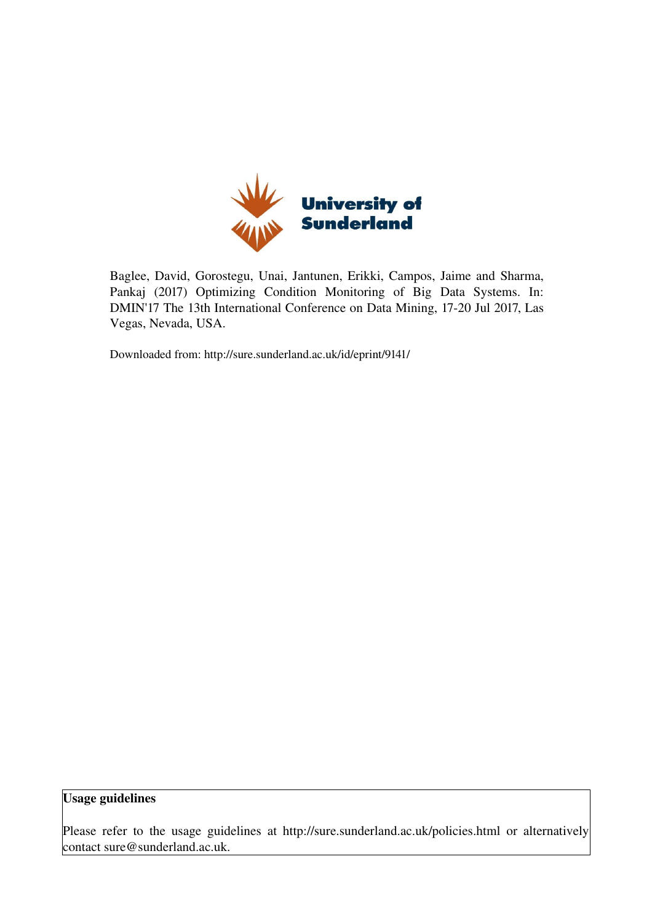

Baglee, David, Gorostegu, Unai, Jantunen, Erikki, Campos, Jaime and Sharma, Pankaj (2017) Optimizing Condition Monitoring of Big Data Systems. In: DMIN'17 The 13th International Conference on Data Mining, 17-20 Jul 2017, Las Vegas, Nevada, USA.

Downloaded from: http://sure.sunderland.ac.uk/id/eprint/9141/

## Usage guidelines

Please refer to the usage guidelines at http://sure.sunderland.ac.uk/policies.html or alternatively contact sure@sunderland.ac.uk.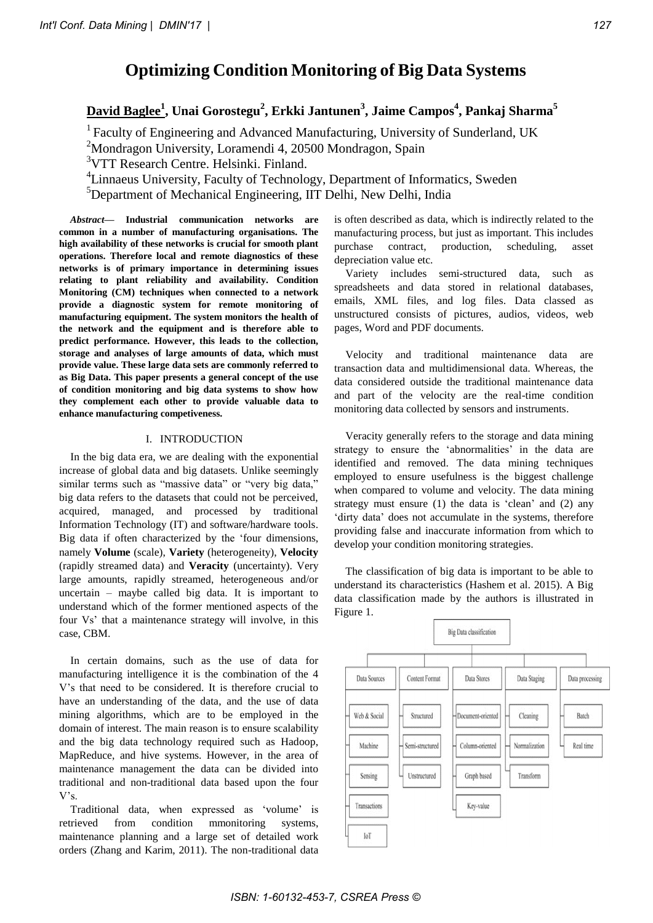# **Optimizing Condition Monitoring of Big Data Systems**

## **David Baglee<sup>1</sup> , Unai Gorostegu<sup>2</sup> , Erkki Jantunen<sup>3</sup> , Jaime Campos<sup>4</sup> , Pankaj Sharma<sup>5</sup>**

<sup>1</sup> Faculty of Engineering and Advanced Manufacturing, University of Sunderland, UK

<sup>2</sup>Mondragon University, Loramendi 4, 20500 Mondragon, Spain

<sup>3</sup>VTT Research Centre. Helsinki. Finland.

<sup>4</sup>Linnaeus University, Faculty of Technology, Department of Informatics, Sweden

<sup>5</sup>Department of Mechanical Engineering, IIT Delhi, New Delhi, India

*Abstract***— Industrial communication networks are common in a number of manufacturing organisations. The high availability of these networks is crucial for smooth plant operations. Therefore local and remote diagnostics of these networks is of primary importance in determining issues relating to plant reliability and availability. Condition Monitoring (CM) techniques when connected to a network provide a diagnostic system for remote monitoring of manufacturing equipment. The system monitors the health of the network and the equipment and is therefore able to predict performance. However, this leads to the collection, storage and analyses of large amounts of data, which must provide value. These large data sets are commonly referred to as Big Data. This paper presents a general concept of the use of condition monitoring and big data systems to show how they complement each other to provide valuable data to enhance manufacturing competiveness.**

#### I. INTRODUCTION

In the big data era, we are dealing with the exponential increase of global data and big datasets. Unlike seemingly similar terms such as "massive data" or "very big data," big data refers to the datasets that could not be perceived, acquired, managed, and processed by traditional Information Technology (IT) and software/hardware tools. Big data if often characterized by the 'four dimensions, namely **Volume** (scale), **Variety** (heterogeneity), **Velocity** (rapidly streamed data) and **Veracity** (uncertainty). Very large amounts, rapidly streamed, heterogeneous and/or uncertain – maybe called big data. It is important to understand which of the former mentioned aspects of the four Vs' that a maintenance strategy will involve, in this case, CBM.

In certain domains, such as the use of data for manufacturing intelligence it is the combination of the 4 V's that need to be considered. It is therefore crucial to have an understanding of the data, and the use of data mining algorithms, which are to be employed in the domain of interest. The main reason is to ensure scalability and the big data technology required such as Hadoop, MapReduce, and hive systems. However, in the area of maintenance management the data can be divided into traditional and non-traditional data based upon the four V's.

Traditional data, when expressed as 'volume' is retrieved from condition mmonitoring systems, maintenance planning and a large set of detailed work orders (Zhang and Karim, 2011). The non-traditional data is often described as data, which is indirectly related to the manufacturing process, but just as important. This includes purchase contract, production, scheduling, asset depreciation value etc.

Variety includes semi-structured data, such as spreadsheets and data stored in relational databases, emails, XML files, and log files. Data classed as unstructured consists of pictures, audios, videos, web pages, Word and PDF documents.

Velocity and traditional maintenance data are transaction data and multidimensional data. Whereas, the data considered outside the traditional maintenance data and part of the velocity are the real-time condition monitoring data collected by sensors and instruments.

Veracity generally refers to the storage and data mining strategy to ensure the 'abnormalities' in the data are identified and removed. The data mining techniques employed to ensure usefulness is the biggest challenge when compared to volume and velocity. The data mining strategy must ensure (1) the data is 'clean' and (2) any 'dirty data' does not accumulate in the systems, therefore providing false and inaccurate information from which to develop your condition monitoring strategies.

The classification of big data is important to be able to understand its characteristics (Hashem et al. 2015). A Big data classification made by the authors is illustrated in Figure 1.

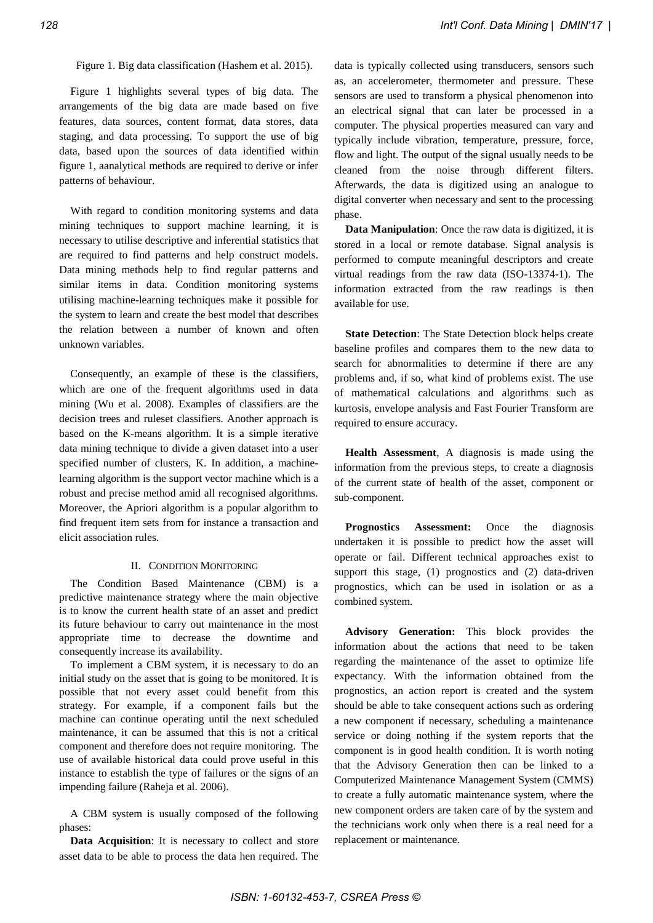Figure 1. Big data classification (Hashem et al. 2015).

Figure 1 highlights several types of big data. The arrangements of the big data are made based on five features, data sources, content format, data stores, data staging, and data processing. To support the use of big data, based upon the sources of data identified within figure 1, aanalytical methods are required to derive or infer patterns of behaviour.

With regard to condition monitoring systems and data mining techniques to support machine learning, it is necessary to utilise descriptive and inferential statistics that are required to find patterns and help construct models. Data mining methods help to find regular patterns and similar items in data. Condition monitoring systems utilising machine-learning techniques make it possible for the system to learn and create the best model that describes the relation between a number of known and often unknown variables.

Consequently, an example of these is the classifiers, which are one of the frequent algorithms used in data mining (Wu et al. 2008). Examples of classifiers are the decision trees and ruleset classifiers. Another approach is based on the K-means algorithm. It is a simple iterative data mining technique to divide a given dataset into a user specified number of clusters, K. In addition, a machinelearning algorithm is the support vector machine which is a robust and precise method amid all recognised algorithms. Moreover, the Apriori algorithm is a popular algorithm to find frequent item sets from for instance a transaction and elicit association rules.

#### II. CONDITION MONITORING

The Condition Based Maintenance (CBM) is a predictive maintenance strategy where the main objective is to know the current health state of an asset and predict its future behaviour to carry out maintenance in the most appropriate time to decrease the downtime and consequently increase its availability.

To implement a CBM system, it is necessary to do an initial study on the asset that is going to be monitored. It is possible that not every asset could benefit from this strategy. For example, if a component fails but the machine can continue operating until the next scheduled maintenance, it can be assumed that this is not a critical component and therefore does not require monitoring. The use of available historical data could prove useful in this instance to establish the type of failures or the signs of an impending failure (Raheja et al. 2006).

A CBM system is usually composed of the following phases:

**Data Acquisition**: It is necessary to collect and store asset data to be able to process the data hen required. The data is typically collected using transducers, sensors such as, an accelerometer, thermometer and pressure. These sensors are used to transform a physical phenomenon into an electrical signal that can later be processed in a computer. The physical properties measured can vary and typically include vibration, temperature, pressure, force, flow and light. The output of the signal usually needs to be cleaned from the noise through different filters. Afterwards, the data is digitized using an analogue to digital converter when necessary and sent to the processing phase.

**Data Manipulation**: Once the raw data is digitized, it is stored in a local or remote database. Signal analysis is performed to compute meaningful descriptors and create virtual readings from the raw data (ISO-13374-1). The information extracted from the raw readings is then available for use.

**State Detection**: The State Detection block helps create baseline profiles and compares them to the new data to search for abnormalities to determine if there are any problems and, if so, what kind of problems exist. The use of mathematical calculations and algorithms such as kurtosis, envelope analysis and Fast Fourier Transform are required to ensure accuracy.

**Health Assessment**, A diagnosis is made using the information from the previous steps, to create a diagnosis of the current state of health of the asset, component or sub-component.

**Prognostics Assessment:** Once the diagnosis undertaken it is possible to predict how the asset will operate or fail. Different technical approaches exist to support this stage, (1) prognostics and (2) data-driven prognostics, which can be used in isolation or as a combined system.

**Advisory Generation:** This block provides the information about the actions that need to be taken regarding the maintenance of the asset to optimize life expectancy. With the information obtained from the prognostics, an action report is created and the system should be able to take consequent actions such as ordering a new component if necessary, scheduling a maintenance service or doing nothing if the system reports that the component is in good health condition. It is worth noting that the Advisory Generation then can be linked to a Computerized Maintenance Management System (CMMS) to create a fully automatic maintenance system, where the new component orders are taken care of by the system and the technicians work only when there is a real need for a replacement or maintenance.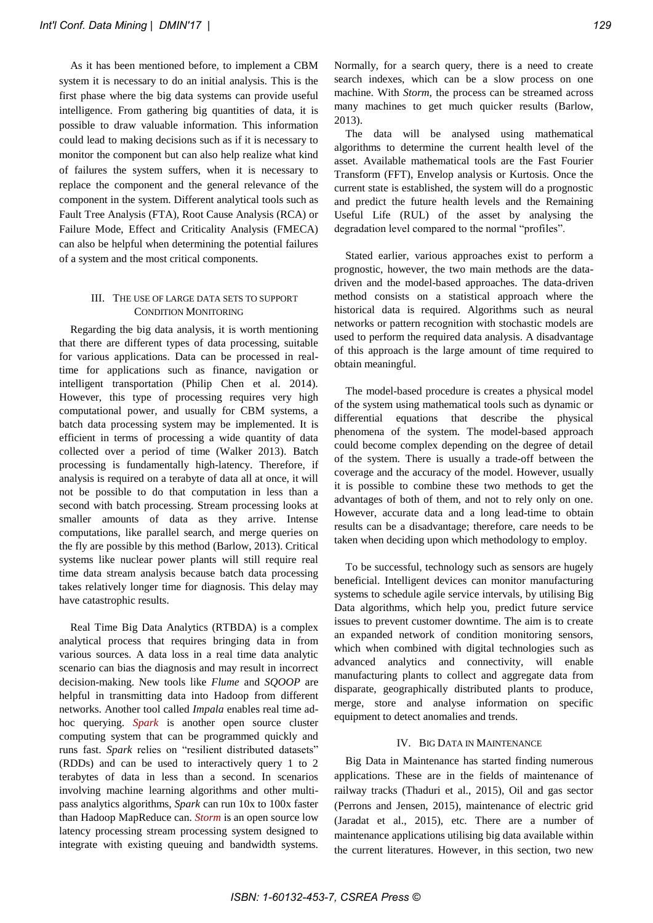As it has been mentioned before, to implement a CBM system it is necessary to do an initial analysis. This is the first phase where the big data systems can provide useful intelligence. From gathering big quantities of data, it is possible to draw valuable information. This information could lead to making decisions such as if it is necessary to monitor the component but can also help realize what kind of failures the system suffers, when it is necessary to replace the component and the general relevance of the component in the system. Different analytical tools such as Fault Tree Analysis (FTA), Root Cause Analysis (RCA) or Failure Mode, Effect and Criticality Analysis (FMECA) can also be helpful when determining the potential failures of a system and the most critical components.

### III. THE USE OF LARGE DATA SETS TO SUPPORT CONDITION MONITORING

Regarding the big data analysis, it is worth mentioning that there are different types of data processing, suitable for various applications. Data can be processed in realtime for applications such as finance, navigation or intelligent transportation (Philip Chen et al. 2014). However, this type of processing requires very high computational power, and usually for CBM systems, a batch data processing system may be implemented. It is efficient in terms of processing a wide quantity of data collected over a period of time (Walker 2013). Batch processing is fundamentally high-latency. Therefore, if analysis is required on a terabyte of data all at once, it will not be possible to do that computation in less than a second with batch processing. Stream processing looks at smaller amounts of data as they arrive. Intense computations, like parallel search, and merge queries on the fly are possible by this method (Barlow, 2013). Critical systems like nuclear power plants will still require real time data stream analysis because batch data processing takes relatively longer time for diagnosis. This delay may have catastrophic results.

Real Time Big Data Analytics (RTBDA) is a complex analytical process that requires bringing data in from various sources. A data loss in a real time data analytic scenario can bias the diagnosis and may result in incorrect decision-making. New tools like *Flume* and *SQOOP* are helpful in transmitting data into Hadoop from different networks. Another tool called *Impala* enables real time adhoc querying. *Spark* is another open source cluster computing system that can be programmed quickly and runs fast. *Spark* relies on "resilient distributed datasets" (RDDs) and can be used to interactively query 1 to 2 terabytes of data in less than a second. In scenarios involving machine learning algorithms and other multipass analytics algorithms, *Spark* can run 10x to 100x faster than Hadoop MapReduce can. *Storm* is an open source low latency processing stream processing system designed to integrate with existing queuing and bandwidth systems.

Normally, for a search query, there is a need to create search indexes, which can be a slow process on one machine. With *Storm*, the process can be streamed across many machines to get much quicker results (Barlow, 2013).

The data will be analysed using mathematical algorithms to determine the current health level of the asset. Available mathematical tools are the Fast Fourier Transform (FFT), Envelop analysis or Kurtosis. Once the current state is established, the system will do a prognostic and predict the future health levels and the Remaining Useful Life (RUL) of the asset by analysing the degradation level compared to the normal "profiles".

Stated earlier, various approaches exist to perform a prognostic, however, the two main methods are the datadriven and the model-based approaches. The data-driven method consists on a statistical approach where the historical data is required. Algorithms such as neural networks or pattern recognition with stochastic models are used to perform the required data analysis. A disadvantage of this approach is the large amount of time required to obtain meaningful.

The model-based procedure is creates a physical model of the system using mathematical tools such as dynamic or differential equations that describe the physical phenomena of the system. The model-based approach could become complex depending on the degree of detail of the system. There is usually a trade-off between the coverage and the accuracy of the model. However, usually it is possible to combine these two methods to get the advantages of both of them, and not to rely only on one. However, accurate data and a long lead-time to obtain results can be a disadvantage; therefore, care needs to be taken when deciding upon which methodology to employ.

To be successful, technology such as sensors are hugely beneficial. Intelligent devices can monitor manufacturing systems to schedule agile service intervals, by utilising Big Data algorithms, which help you, predict future service issues to prevent customer downtime. The aim is to create an expanded network of condition monitoring sensors, which when combined with digital technologies such as advanced analytics and connectivity, will enable manufacturing plants to collect and aggregate data from disparate, geographically distributed plants to produce, merge, store and analyse information on specific equipment to detect anomalies and trends.

### IV. BIG DATA IN MAINTENANCE

Big Data in Maintenance has started finding numerous applications. These are in the fields of maintenance of railway tracks (Thaduri et al., 2015), Oil and gas sector (Perrons and Jensen, 2015), maintenance of electric grid (Jaradat et al., 2015), etc. There are a number of maintenance applications utilising big data available within the current literatures. However, in this section, two new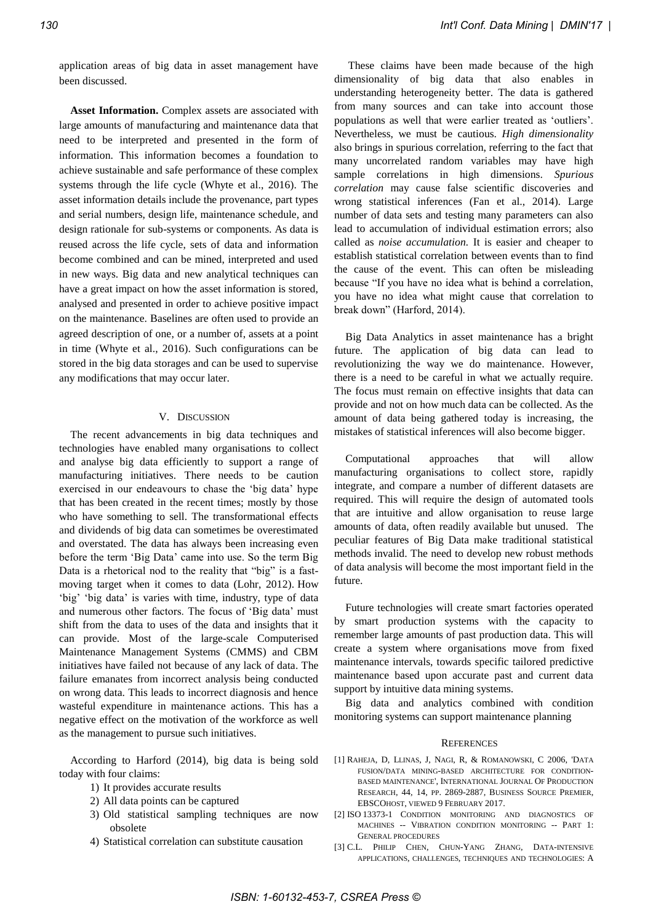application areas of big data in asset management have been discussed.

**Asset Information.** Complex assets are associated with large amounts of manufacturing and maintenance data that need to be interpreted and presented in the form of information. This information becomes a foundation to achieve sustainable and safe performance of these complex systems through the life cycle (Whyte et al., 2016). The asset information details include the provenance, part types and serial numbers, design life, maintenance schedule, and design rationale for sub-systems or components. As data is reused across the life cycle, sets of data and information become combined and can be mined, interpreted and used in new ways. Big data and new analytical techniques can have a great impact on how the asset information is stored, analysed and presented in order to achieve positive impact on the maintenance. Baselines are often used to provide an agreed description of one, or a number of, assets at a point in time (Whyte et al., 2016). Such configurations can be stored in the big data storages and can be used to supervise any modifications that may occur later.

#### V. DISCUSSION

The recent advancements in big data techniques and technologies have enabled many organisations to collect and analyse big data efficiently to support a range of manufacturing initiatives. There needs to be caution exercised in our endeavours to chase the 'big data' hype that has been created in the recent times; mostly by those who have something to sell. The transformational effects and dividends of big data can sometimes be overestimated and overstated. The data has always been increasing even before the term 'Big Data' came into use. So the term Big Data is a rhetorical nod to the reality that "big" is a fastmoving target when it comes to data (Lohr, 2012). How 'big' 'big data' is varies with time, industry, type of data and numerous other factors. The focus of 'Big data' must shift from the data to uses of the data and insights that it can provide. Most of the large-scale Computerised Maintenance Management Systems (CMMS) and CBM initiatives have failed not because of any lack of data. The failure emanates from incorrect analysis being conducted on wrong data. This leads to incorrect diagnosis and hence wasteful expenditure in maintenance actions. This has a negative effect on the motivation of the workforce as well as the management to pursue such initiatives.

According to Harford (2014), big data is being sold today with four claims:

- 1) It provides accurate results
- 2) All data points can be captured
- 3) Old statistical sampling techniques are now obsolete
- 4) Statistical correlation can substitute causation

 These claims have been made because of the high dimensionality of big data that also enables in understanding heterogeneity better. The data is gathered from many sources and can take into account those populations as well that were earlier treated as 'outliers'. Nevertheless, we must be cautious. *High dimensionality* also brings in spurious correlation, referring to the fact that many uncorrelated random variables may have high sample correlations in high dimensions. *Spurious correlation* may cause false scientific discoveries and wrong statistical inferences (Fan et al., 2014). Large number of data sets and testing many parameters can also lead to accumulation of individual estimation errors; also called as *noise accumulation.* It is easier and cheaper to establish statistical correlation between events than to find the cause of the event. This can often be misleading because "If you have no idea what is behind a correlation, you have no idea what might cause that correlation to break down" (Harford, 2014).

Big Data Analytics in asset maintenance has a bright future. The application of big data can lead to revolutionizing the way we do maintenance. However, there is a need to be careful in what we actually require. The focus must remain on effective insights that data can provide and not on how much data can be collected. As the amount of data being gathered today is increasing, the mistakes of statistical inferences will also become bigger.

Computational approaches that will allow manufacturing organisations to collect store, rapidly integrate, and compare a number of different datasets are required. This will require the design of automated tools that are intuitive and allow organisation to reuse large amounts of data, often readily available but unused. The peculiar features of Big Data make traditional statistical methods invalid. The need to develop new robust methods of data analysis will become the most important field in the future.

Future technologies will create smart factories operated by smart production systems with the capacity to remember large amounts of past production data. This will create a system where organisations move from fixed maintenance intervals, towards specific tailored predictive maintenance based upon accurate past and current data support by intuitive data mining systems.

Big data and analytics combined with condition monitoring systems can support maintenance planning

#### **REFERENCES**

- [1] RAHEJA, D, LLINAS, J, NAGI, R, & ROMANOWSKI, C 2006, 'DATA FUSION/DATA MINING-BASED ARCHITECTURE FOR CONDITION-BASED MAINTENANCE', INTERNATIONAL JOURNAL OF PRODUCTION RESEARCH, 44, 14, PP. 2869-2887, BUSINESS SOURCE PREMIER, EBSCOHOST, VIEWED 9 FEBRUARY 2017.
- [2] ISO 13373-1 CONDITION MONITORING AND DIAGNOSTICS OF MACHINES -- VIBRATION CONDITION MONITORING -- PART 1: GENERAL PROCEDURES
- [3] C.L. PHILIP CHEN, CHUN-YANG ZHANG, DATA-INTENSIVE APPLICATIONS, CHALLENGES, TECHNIQUES AND TECHNOLOGIES: A